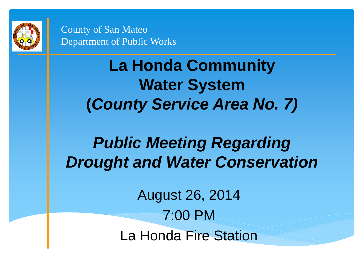

> **La Honda Community Water System (***County Service Area No. 7)*

### *Public Meeting Regarding Drought and Water Conservation*

August 26, 2014 7:00 PM La Honda Fire Station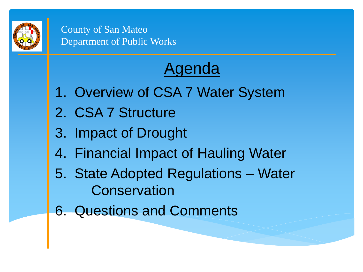

## Agenda

- 1. Overview of CSA 7 Water System
- 2. CSA 7 Structure
- 3. Impact of Drought
- 4. Financial Impact of Hauling Water
- 5. State Adopted Regulations Water **Conservation**
- 6. Questions and Comments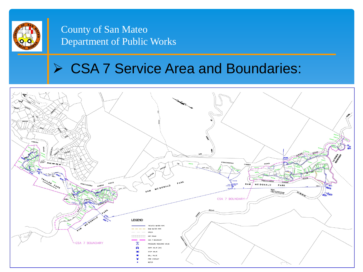

#### **▶ CSA 7 Service Area and Boundaries:**

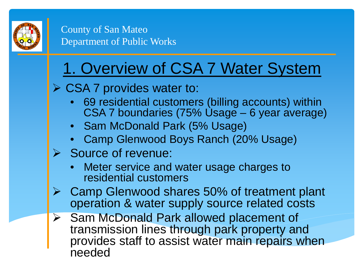

## 1. Overview of CSA 7 Water System

#### **≻ CSA 7 provides water to:**

- 69 residential customers (billing accounts) within CSA 7 boundaries (75% Usage – 6 year average)
- Sam McDonald Park (5% Usage)
- Camp Glenwood Boys Ranch (20% Usage)
- Source of revenue:
	- Meter service and water usage charges to residential customers
- Camp Glenwood shares 50% of treatment plant operation & water supply source related costs
- Sam McDonald Park allowed placement of transmission lines through park property and provides staff to assist water main repairs when needed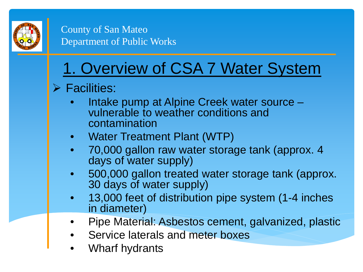

## 1. Overview of CSA 7 Water System

#### $\triangleright$  Facilities:

- Intake pump at Alpine Creek water source vulnerable to weather conditions and contamination
- Water Treatment Plant (WTP)
- 70,000 gallon raw water storage tank (approx. 4 days of water supply)
- 500,000 gallon treated water storage tank (approx. 30 days of water supply)
- 13,000 feet of distribution pipe system (1-4 inches in diameter)
- Pipe Material: Asbestos cement, galvanized, plastic
- Service laterals and meter boxes
- Wharf hydrants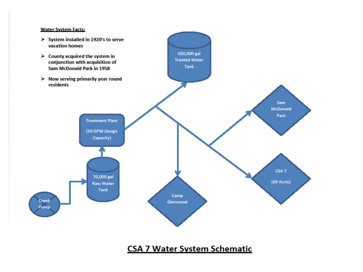#### Water System Facts:



#### **CSA 7 Water System Schematic**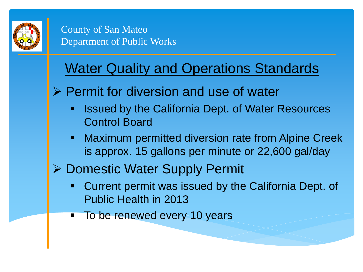

#### Water Quality and Operations Standards

- $\triangleright$  Permit for diversion and use of water
	- Issued by the California Dept. of Water Resources Control Board
	- **-** Maximum permitted diversion rate from Alpine Creek is approx. 15 gallons per minute or 22,600 gal/day
- **▶ Domestic Water Supply Permit** 
	- Current permit was issued by the California Dept. of Public Health in 2013
	- To be renewed every 10 years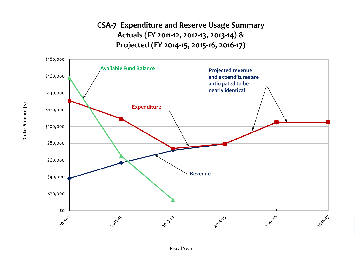

Dollar Amount (\$) **Dollar Amount (\$)**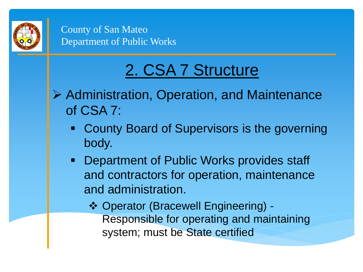

## 2. CSA 7 Structure

- Administration, Operation, and Maintenance of CSA 7:
	- County Board of Supervisors is the governing body.
	- **Department of Public Works provides staff** and contractors for operation, maintenance and administration.
		- Operator (Bracewell Engineering) Responsible for operating and maintaining system; must be State certified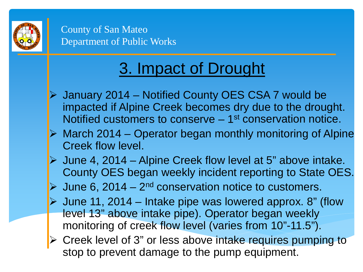

- January 2014 Notified County OES CSA 7 would be impacted if Alpine Creek becomes dry due to the drought. Notified customers to conserve – 1<sup>st</sup> conservation notice.
- $\triangleright$  March 2014 Operator began monthly monitoring of Alpine Creek flow level.
- $\triangleright$  June 4, 2014 Alpine Creek flow level at 5" above intake. County OES began weekly incident reporting to State OES.
- $\triangleright$  June 6, 2014 2<sup>nd</sup> conservation notice to customers.
- $\triangleright$  June 11, 2014 Intake pipe was lowered approx. 8" (flow level 13" above intake pipe). Operator began weekly monitoring of creek flow level (varies from 10"-11.5").
- Creek level of 3" or less above intake requires pumping to stop to prevent damage to the pump equipment.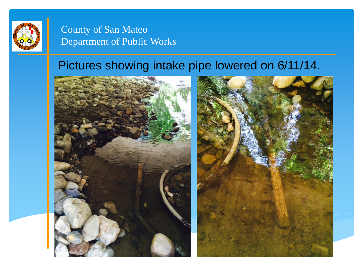

#### Pictures showing intake pipe lowered on 6/11/14.

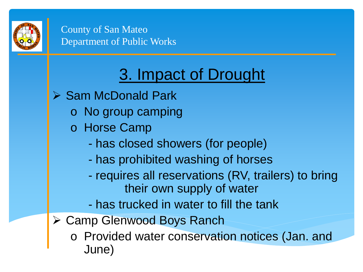

- $\triangleright$  Sam McDonald Park
	- o No group camping
	- o Horse Camp
		- has closed showers (for people)
		- has prohibited washing of horses
		- requires all reservations (RV, trailers) to bring their own supply of water
		- has trucked in water to fill the tank
- **≻ Camp Glenwood Boys Ranch** 
	- o Provided water conservation notices (Jan. and June)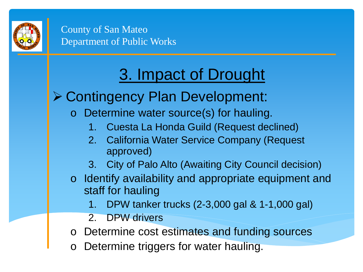

# 3. Impact of Drought

#### Contingency Plan Development:

- Determine water source(s) for hauling.
	- 1. Cuesta La Honda Guild (Request declined)
	- 2. California Water Service Company (Request approved)
	- 3. City of Palo Alto (Awaiting City Council decision)
- o Identify availability and appropriate equipment and staff for hauling
	- 1. DPW tanker trucks (2-3,000 gal & 1-1,000 gal)
	- 2. DPW drivers
- o Determine cost estimates and funding sources
- Determine triggers for water hauling.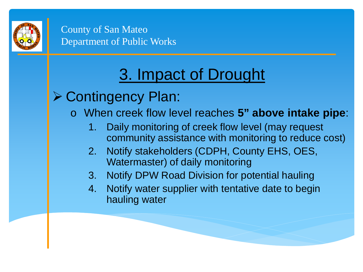

- **≻ Contingency Plan:** 
	- When creek flow level reaches 5" above intake pipe:
		- 1. Daily monitoring of creek flow level (may request community assistance with monitoring to reduce cost)
		- 2. Notify stakeholders (CDPH, County EHS, OES, Watermaster) of daily monitoring
		- 3. Notify DPW Road Division for potential hauling
		- 4. Notify water supplier with tentative date to begin hauling water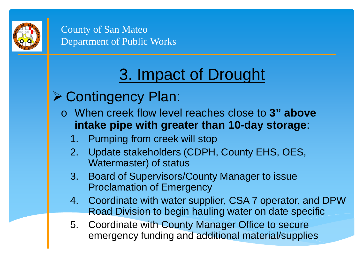

- **≻ Contingency Plan:** 
	- o When creek flow level reaches close to **3" above intake pipe with greater than 10-day storage**:
		- 1. Pumping from creek will stop
		- 2. Update stakeholders (CDPH, County EHS, OES, Watermaster) of status
		- 3. Board of Supervisors/County Manager to issue Proclamation of Emergency
		- 4. Coordinate with water supplier, CSA 7 operator, and DPW Road Division to begin hauling water on date specific
		- 5. Coordinate with County Manager Office to secure emergency funding and additional material/supplies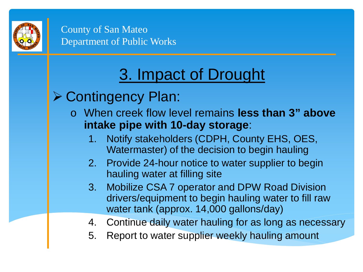

- **≻ Contingency Plan:** 
	- o When creek flow level remains **less than 3" above intake pipe with 10-day storage**:
		- 1. Notify stakeholders (CDPH, County EHS, OES, Watermaster) of the decision to begin hauling
		- 2. Provide 24-hour notice to water supplier to begin hauling water at filling site
		- 3. Mobilize CSA 7 operator and DPW Road Division drivers/equipment to begin hauling water to fill raw water tank (approx. 14,000 gallons/day)
		- 4. Continue daily water hauling for as long as necessary
		- 5. Report to water supplier weekly hauling amount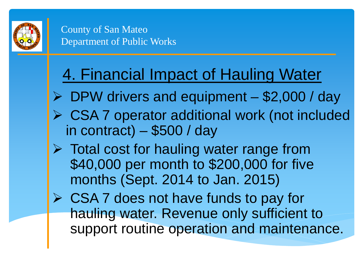

### 4. Financial Impact of Hauling Water

- DPW drivers and equipment \$2,000 / day
- CSA 7 operator additional work (not included in contract) – \$500 / day
- $\triangleright$  Total cost for hauling water range from \$40,000 per month to \$200,000 for five months (Sept. 2014 to Jan. 2015)
- $\triangleright$  CSA 7 does not have funds to pay for hauling water. Revenue only sufficient to support routine operation and maintenance.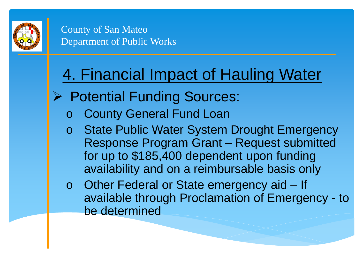

## 4. Financial Impact of Hauling Water

- **Potential Funding Sources:** 
	- **County General Fund Loan**
	- o State Public Water System Drought Emergency Response Program Grant – Request submitted for up to \$185,400 dependent upon funding availability and on a reimbursable basis only
	- o Other Federal or State emergency aid If available through Proclamation of Emergency - to be determined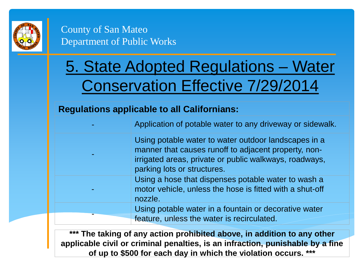

## 5. State Adopted Regulations – Water Conservation Effective 7/29/2014

#### **Regulations applicable to all Californians:**

The taking of any action prohibited above, in addition to any other **applicable civil or criminal penalties, is an infraction, punishable by a fine of up to \$500 for each day in which the violation occurs. \*\*\***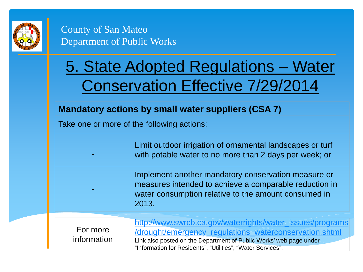

## 5. State Adopted Regulations – Water Conservation Effective 7/29/2014

#### **Mandatory actions by small water suppliers (CSA 7)**

Take one or more of the following actions:

|                         | Limit outdoor irrigation of ornamental landscapes or turf<br>with potable water to no more than 2 days per week; or                                                                                                                                      |
|-------------------------|----------------------------------------------------------------------------------------------------------------------------------------------------------------------------------------------------------------------------------------------------------|
|                         | Implement another mandatory conservation measure or<br>measures intended to achieve a comparable reduction in<br>water consumption relative to the amount consumed in<br>2013.                                                                           |
| For more<br>information | http://www.swrcb.ca.gov/waterrights/water_issues/programs<br>/drought/emergency_regulations_waterconservation.shtml<br>Link also posted on the Department of Public Works' web page under<br>"Information for Residents", "Utilities", "Water Services". |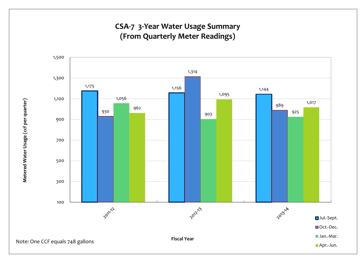#### CSA-7 3-Year Water Usage Summary **(From Quarterly Meter Readings)**